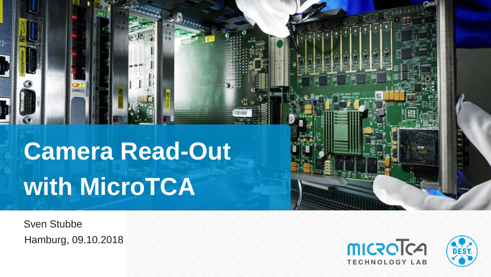# **Camera Read-Out with MicroTCA**

Sven Stubbe Hamburg, 09.10.2018

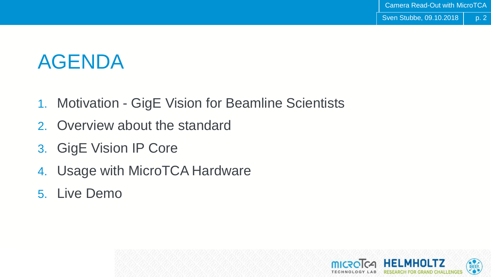p. 2

# AGENDA

- 1. Motivation GigE Vision for Beamline Scientists
- 2. Overview about the standard
- 3. GigE Vision IP Core
- 4. Usage with MicroTCA Hardware
- 5. Live Demo

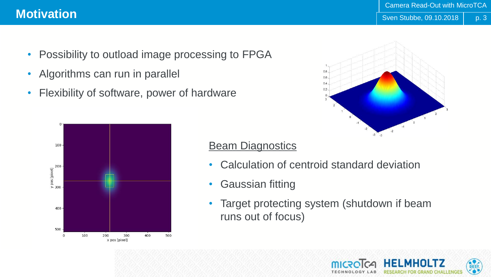- 
- Possibility to outload image processing to FPGA
- Algorithms can run in parallel
- Flexibility of software, power of hardware





# Beam Diagnostics

- Calculation of centroid standard deviation
- Gaussian fitting
- Target protecting system (shutdown if beam runs out of focus)



p. 3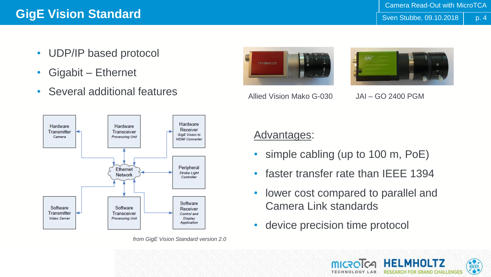- UDP/IP based protocol
- Gigabit Ethernet
- Several additional features



Allied Vision Mako G-030 JAI – GO 2400 PGM





*from GigE Vision Standard version 2.0*

# Advantages:

- simple cabling (up to 100 m, PoE)
- faster transfer rate than IEEE 1394
- lower cost compared to parallel and Camera Link standards
- device precision time protocol

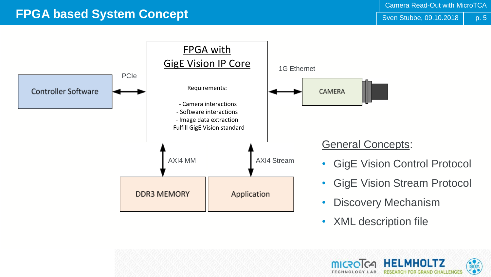p. 5

# **FPGA based System Concept** Strategies of the Structure of the Structure of the Structure of the Structure of the Structure of the Structure of the Structure of the Structure of the Structure of the Structure of the Struct



• XML description file

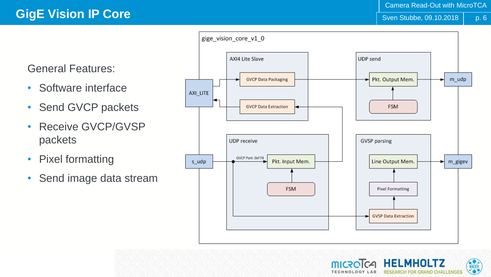General Features:

- Software interface
- Send GVCP packets
- Receive GVCP/GVSP packets
- Pixel formatting
- Send image data stream



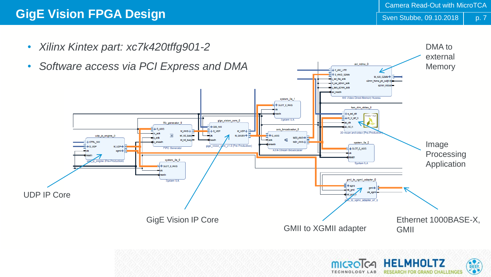**RESEARCH FOR GRAND CHALLENGES** 

**TECHNOLOGY** 

• *Xilinx Kintex part: xc7k420tffg901-2*



p. 7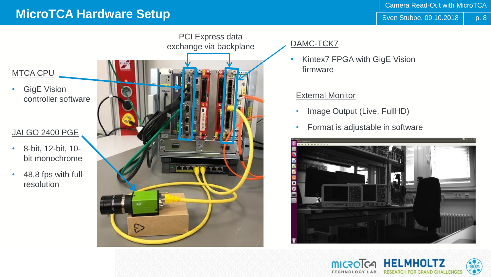# **MicroTCA Hardware Setup** State Setup Setup State of the State of Sven Stubbe, 09.10.2018

p. 8

DESY.



#### DAMC-TCK7

• Kintex7 FPGA with GigE Vision firmware

#### External Monitor

- Image Output (Live, FullHD)
- Format is adjustable in software



**JEI MHOI TZ** 

**RCH FOR GRAND CHALLENGES**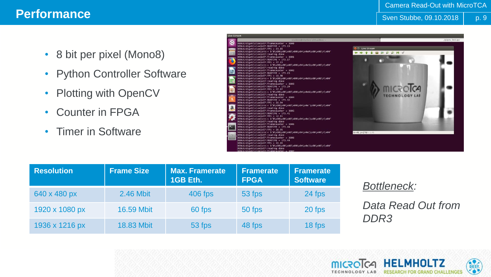#### Camera Read-Out with MicroTCA

### **Performance** Strategy and the strategy of the strategy and the strategy of the strategy of the strategy of the strategy of the strategy of the strategy of the strategy of the strategy of the strategy of the strategy of th

p. 9

- 8 bit per pixel (Mono8)
- Python Controller Software
- Plotting with OpenCV
- Counter in FPGA
- Timer in Software



| <b>Resolution</b> | <b>Frame Size</b> | <b>Max. Framerate</b><br>1GB Eth. | <b>Framerate</b><br><b>FPGA</b> | <b>Framerate</b><br><b>Software</b> |
|-------------------|-------------------|-----------------------------------|---------------------------------|-------------------------------------|
| 640 x 480 px      | 2.46 Mbit         | 406 fps                           | 53 fps                          | 24 fps                              |
| 1920 x 1080 px    | <b>16.59 Mbit</b> | 60 fps                            | 50 fps                          | 20 fps                              |
| 1936 x 1216 px    | <b>18.83 Mbit</b> | 53 fps                            | 48 fps                          | 18 fps                              |

#### *Bottleneck:*

*Data Read Out from DDR3*